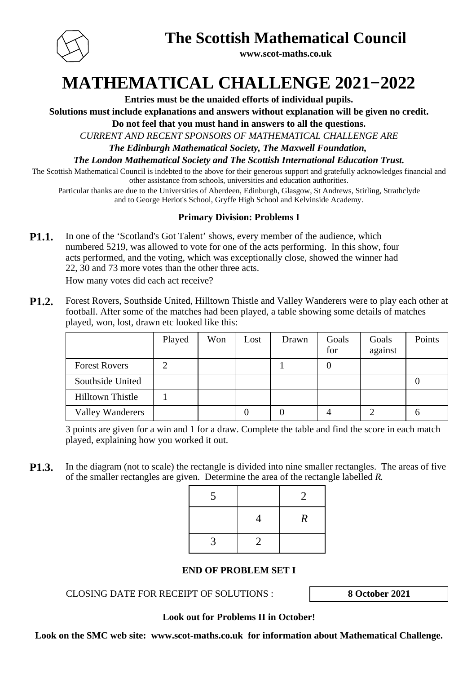

**The Scottish Mathematical Council**

**www.scot-maths.co.uk**

**MATHEMATICAL CHALLENGE 2021−2022**

**Entries must be the unaided efforts of individual pupils.**

**Solutions must include explanations and answers without explanation will be given no credit.**

**Do not feel that you must hand in answers to all the questions.**

*CURRENT AND RECENT SPONSORS OF MATHEMATICAL CHALLENGE ARE*

*The Edinburgh Mathematical Society, The Maxwell Foundation,* 

*The London Mathematical Society and The Scottish International Education Trust.*

The Scottish Mathematical Council is indebted to the above for their generous support and gratefully acknowledges financial and other assistance from schools, universities and education authorities.

Particular thanks are due to the Universities of Aberdeen, Edinburgh, Glasgow, St Andrews, Stirling, Strathclyde and to George Heriot's School, Gryffe High School and Kelvinside Academy.

### **Primary Division: Problems I**

**P1.1.** In one of the 'Scotland's Got Talent' shows, every member of the audience, which numbered 5219, was allowed to vote for one of the acts performing. In this show, four acts performed, and the voting, which was exceptionally close, showed the winner had 22, 30 and 73 more votes than the other three acts.

How many votes did each act receive?

**P1.2.** Forest Rovers, Southside United, Hilltown Thistle and Valley Wanderers were to play each other at football. After some of the matches had been played, a table showing some details of matches played, won, lost, drawn etc looked like this:

|                         | Played | Won | Lost | Drawn | Goals<br>for | Goals<br>against | Points |
|-------------------------|--------|-----|------|-------|--------------|------------------|--------|
| <b>Forest Rovers</b>    |        |     |      |       |              |                  |        |
| Southside United        |        |     |      |       |              |                  |        |
| <b>Hilltown Thistle</b> |        |     |      |       |              |                  |        |
| <b>Valley Wanderers</b> |        |     |      |       |              |                  | n      |

3 points are given for a win and 1 for a draw. Complete the table and find the score in each match played, explaining how you worked it out.

**P1.3.** In the diagram (not to scale) the rectangle is divided into nine smaller rectangles. The areas of five of the smaller rectangles are given. Determine the area of the rectangle labelled *R*.

| 5 |   | $\overline{2}$   |
|---|---|------------------|
|   |   | $\boldsymbol{R}$ |
| 3 | 2 |                  |

### **END OF PROBLEM SET I**

CLOSING DATE FOR RECEIPT OF SOLUTIONS : **8 October 2021**

**Look out for Problems II in October!**

**Look on the SMC web site: www.scot-maths.co.uk for information about Mathematical Challenge.**